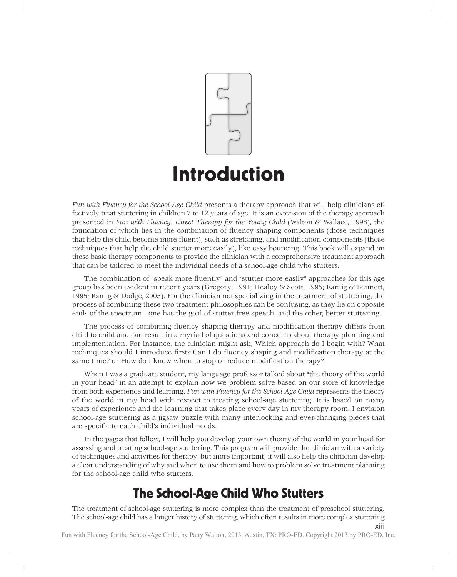

*Fun with Fluency for the School-Age Child* presents a therapy approach that will help clinicians effectively treat stuttering in children 7 to 12 years of age. It is an extension of the therapy approach presented in *Fun with Fluency: Direct Therapy for the Young Child* (Walton & Wallace, 1998), the foundation of which lies in the combination of fluency shaping components (those techniques that help the child become more fluent), such as stretching, and modification components (those techniques that help the child stutter more easily), like easy bouncing. This book will expand on these basic therapy components to provide the clinician with a comprehensive treatment approach that can be tailored to meet the individual needs of a school-age child who stutters.

The combination of "speak more fluently" and "stutter more easily" approaches for this age group has been evident in recent years (Gregory, 1991; Healey & Scott, 1995; Ramig & Bennett, 1995; Ramig & Dodge, 2005). For the clinician not specializing in the treatment of stuttering, the process of combining these two treatment philosophies can be confusing, as they lie on opposite ends of the spectrum—one has the goal of stutter-free speech, and the other, better stuttering.

The process of combining fluency shaping therapy and modification therapy differs from child to child and can result in a myriad of questions and concerns about therapy planning and implementation. For instance, the clinician might ask, Which approach do I begin with? What techniques should I introduce first? Can I do fluency shaping and modification therapy at the same time? or How do I know when to stop or reduce modification therapy?

When I was a graduate student, my language professor talked about "the theory of the world in your head" in an attempt to explain how we problem solve based on our store of knowledge from both experience and learning. *Fun with Fluency for the School-Age Child* represents the theory of the world in my head with respect to treating school-age stuttering. It is based on many years of experience and the learning that takes place every day in my therapy room. I envision school-age stuttering as a jigsaw puzzle with many interlocking and ever-changing pieces that are specific to each child's individual needs.

In the pages that follow, I will help you develop your own theory of the world in your head for assessing and treating school-age stuttering. This program will provide the clinician with a variety of techniques and activities for therapy, but more important, it will also help the clinician develop a clear understanding of why and when to use them and how to problem solve treatment planning for the school-age child who stutters.

## The School-Age Child Who Stutters

The treatment of school-age stuttering is more complex than the treatment of preschool stuttering. The school-age child has a longer history of stuttering, which often results in more complex stuttering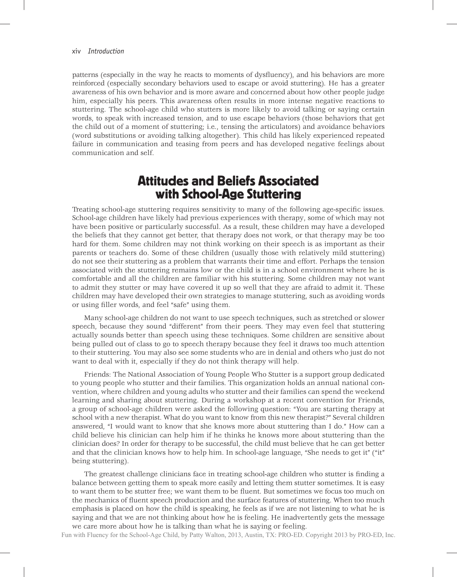patterns (especially in the way he reacts to moments of dysfluency), and his behaviors are more reinforced (especially secondary behaviors used to escape or avoid stuttering). He has a greater awareness of his own behavior and is more aware and concerned about how other people judge him, especially his peers. This awareness often results in more intense negative reactions to stuttering. The school-age child who stutters is more likely to avoid talking or saying certain words, to speak with increased tension, and to use escape behaviors (those behaviors that get the child out of a moment of stuttering; i.e., tensing the articulators) and avoidance behaviors (word substitutions or avoiding talking altogether). This child has likely experienced repeated failure in communication and teasing from peers and has developed negative feelings about communication and self.

## Attitudes and Beliefs Associated with School-Age Stuttering

Treating school-age stuttering requires sensitivity to many of the following age-specifi c issues. School-age children have likely had previous experiences with therapy, some of which may not have been positive or particularly successful. As a result, these children may have a developed the beliefs that they cannot get better, that therapy does not work, or that therapy may be too hard for them. Some children may not think working on their speech is as important as their parents or teachers do. Some of these children (usually those with relatively mild stuttering) do not see their stuttering as a problem that warrants their time and effort. Perhaps the tension associated with the stuttering remains low or the child is in a school environment where he is comfortable and all the children are familiar with his stuttering. Some children may not want to admit they stutter or may have covered it up so well that they are afraid to admit it. These children may have developed their own strategies to manage stuttering, such as avoiding words or using filler words, and feel "safe" using them.

Many school-age children do not want to use speech techniques, such as stretched or slower speech, because they sound "different" from their peers. They may even feel that stuttering actually sounds better than speech using these techniques. Some children are sensitive about being pulled out of class to go to speech therapy because they feel it draws too much attention to their stuttering. You may also see some students who are in denial and others who just do not want to deal with it, especially if they do not think therapy will help.

Friends: The National Association of Young People Who Stutter is a support group dedicated to young people who stutter and their families. This organization holds an annual national convention, where children and young adults who stutter and their families can spend the weekend learning and sharing about stuttering. During a workshop at a recent convention for Friends, a group of school-age children were asked the following question: "You are starting therapy at school with a new therapist. What do you want to know from this new therapist?" Several children answered, "I would want to know that she knows more about stuttering than I do." How can a child believe his clinician can help him if he thinks he knows more about stuttering than the clinician does? In order for therapy to be successful, the child must believe that he can get better and that the clinician knows how to help him. In school-age language, "She needs to get it" ("it" being stuttering).

The greatest challenge clinicians face in treating school-age children who stutter is finding a balance between getting them to speak more easily and letting them stutter sometimes. It is easy to want them to be stutter free; we want them to be fluent. But sometimes we focus too much on the mechanics of fluent speech production and the surface features of stuttering. When too much emphasis is placed on how the child is speaking, he feels as if we are not listening to what he is saying and that we are not thinking about how he is feeling. He inadvertently gets the message we care more about how he is talking than what he is saying or feeling.

Fun with Fluency for the School-Age Child, by Patty Walton, 2013, Austin, TX: PRO-ED. Copyright 2013 by PRO-ED, Inc.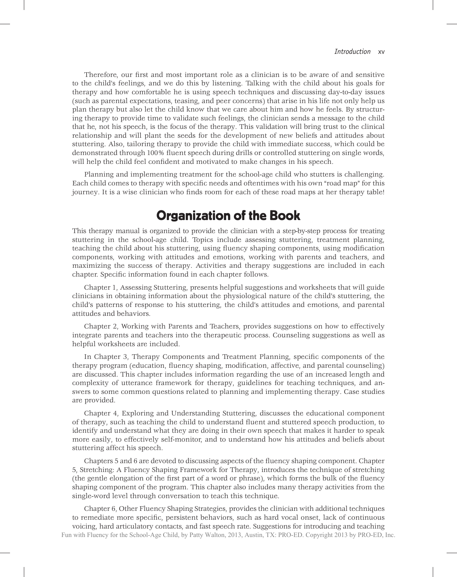Therefore, our first and most important role as a clinician is to be aware of and sensitive to the child's feelings, and we do this by listening. Talking with the child about his goals for therapy and how comfortable he is using speech techniques and discussing day-to-day issues (such as parental expectations, teasing, and peer concerns) that arise in his life not only help us plan therapy but also let the child know that we care about him and how he feels. By structuring therapy to provide time to validate such feelings, the clinician sends a message to the child that he, not his speech, is the focus of the therapy. This validation will bring trust to the clinical relationship and will plant the seeds for the development of new beliefs and attitudes about stuttering. Also, tailoring therapy to provide the child with immediate success, which could be demonstrated through 100% fluent speech during drills or controlled stuttering on single words, will help the child feel confident and motivated to make changes in his speech.

Planning and implementing treatment for the school-age child who stutters is challenging. Each child comes to therapy with specific needs and oftentimes with his own "road map" for this journey. It is a wise clinician who finds room for each of these road maps at her therapy table!

## Organization of the Book

This therapy manual is organized to provide the clinician with a step-by-step process for treating stuttering in the school-age child. Topics include assessing stuttering, treatment planning, teaching the child about his stuttering, using fluency shaping components, using modification components, working with attitudes and emotions, working with parents and teachers, and maximizing the success of therapy. Activities and therapy suggestions are included in each chapter. Specific information found in each chapter follows.

Chapter 1, Assessing Stuttering, presents helpful suggestions and worksheets that will guide clinicians in obtaining information about the physiological nature of the child's stuttering, the child's patterns of response to his stuttering, the child's attitudes and emotions, and parental attitudes and behaviors.

Chapter 2, Working with Parents and Teachers, provides suggestions on how to effectively integrate parents and teachers into the therapeutic process. Counseling suggestions as well as helpful worksheets are included.

In Chapter 3, Therapy Components and Treatment Planning, specific components of the therapy program (education, fluency shaping, modification, affective, and parental counseling) are discussed. This chapter includes information regarding the use of an increased length and complexity of utterance framework for therapy, guidelines for teaching techniques, and answers to some common questions related to planning and implementing therapy. Case studies are provided.

Chapter 4, Exploring and Understanding Stuttering, discusses the educational component of therapy, such as teaching the child to understand fluent and stuttered speech production, to identify and understand what they are doing in their own speech that makes it harder to speak more easily, to effectively self-monitor, and to understand how his attitudes and beliefs about stuttering affect his speech.

Chapters 5 and 6 are devoted to discussing aspects of the fluency shaping component. Chapter 5, Stretching: A Fluency Shaping Framework for Therapy, introduces the technique of stretching (the gentle elongation of the first part of a word or phrase), which forms the bulk of the fluency shaping component of the program. This chapter also includes many therapy activities from the single-word level through conversation to teach this technique.

Chapter 6, Other Fluency Shaping Strategies, provides the clinician with additional techniques to remediate more specific, persistent behaviors, such as hard vocal onset, lack of continuous voicing, hard articulatory contacts, and fast speech rate. Suggestions for introducing and teaching Fun with Fluency for the School-Age Child, by Patty Walton, 2013, Austin, TX: PRO-ED. Copyright 2013 by PRO-ED, Inc.